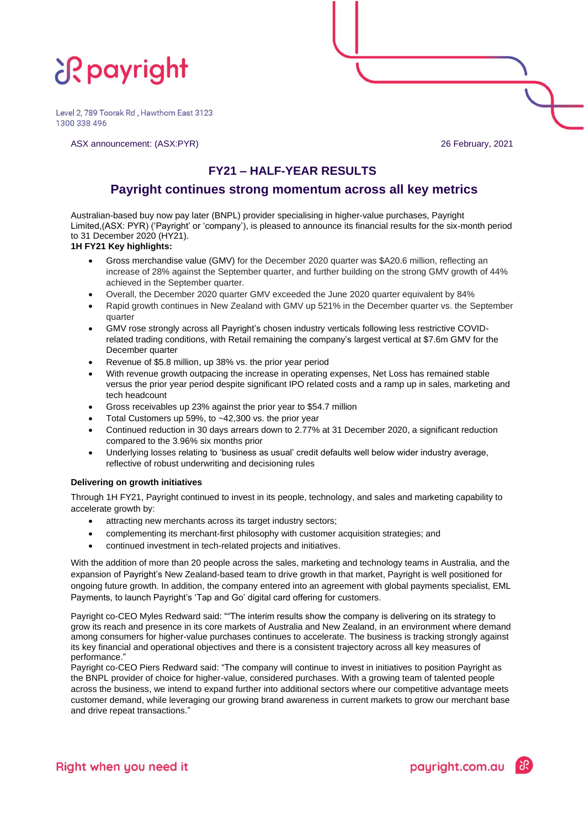# **if payright**

Level 2, 789 Toorak Rd, Hawthorn East 3123 1300 338 496

ASX announcement: (ASX:PYR) 26 February, 2021

## **FY21 – HALF-YEAR RESULTS**

### **Payright continues strong momentum across all key metrics**

Australian-based buy now pay later (BNPL) provider specialising in higher-value purchases, Payright Limited,(ASX: PYR) ('Payright' or 'company'), is pleased to announce its financial results for the six-month period to 31 December 2020 (HY21).

### **1H FY21 Key highlights:**

- Gross merchandise value (GMV) for the December 2020 quarter was \$A20.6 million, reflecting an increase of 28% against the September quarter, and further building on the strong GMV growth of 44% achieved in the September quarter.
- Overall, the December 2020 quarter GMV exceeded the June 2020 quarter equivalent by 84%
- Rapid growth continues in New Zealand with GMV up 521% in the December quarter vs. the September quarter
- GMV rose strongly across all Payright's chosen industry verticals following less restrictive COVIDrelated trading conditions, with Retail remaining the company's largest vertical at \$7.6m GMV for the December quarter
- Revenue of \$5.8 million, up 38% vs. the prior year period
- With revenue growth outpacing the increase in operating expenses, Net Loss has remained stable versus the prior year period despite significant IPO related costs and a ramp up in sales, marketing and tech headcount
- Gross receivables up 23% against the prior year to \$54.7 million
- Total Customers up 59%, to  $~12,300$  vs. the prior year
- Continued reduction in 30 days arrears down to 2.77% at 31 December 2020, a significant reduction compared to the 3.96% six months prior
- Underlying losses relating to 'business as usual' credit defaults well below wider industry average, reflective of robust underwriting and decisioning rules

### **Delivering on growth initiatives**

Through 1H FY21, Payright continued to invest in its people, technology, and sales and marketing capability to accelerate growth by:

- attracting new merchants across its target industry sectors;
- complementing its merchant-first philosophy with customer acquisition strategies; and
- continued investment in tech-related projects and initiatives.

With the addition of more than 20 people across the sales, marketing and technology teams in Australia, and the expansion of Payright's New Zealand-based team to drive growth in that market, Payright is well positioned for ongoing future growth. In addition, the company entered into an agreement with global payments specialist, EML Payments, to launch Payright's 'Tap and Go' digital card offering for customers.

Payright co-CEO Myles Redward said: ""The interim results show the company is delivering on its strategy to grow its reach and presence in its core markets of Australia and New Zealand, in an environment where demand among consumers for higher-value purchases continues to accelerate. The business is tracking strongly against its key financial and operational objectives and there is a consistent trajectory across all key measures of performance."

Payright co-CEO Piers Redward said: "The company will continue to invest in initiatives to position Payright as the BNPL provider of choice for higher-value, considered purchases. With a growing team of talented people across the business, we intend to expand further into additional sectors where our competitive advantage meets customer demand, while leveraging our growing brand awareness in current markets to grow our merchant base and drive repeat transactions."

payright.com.au